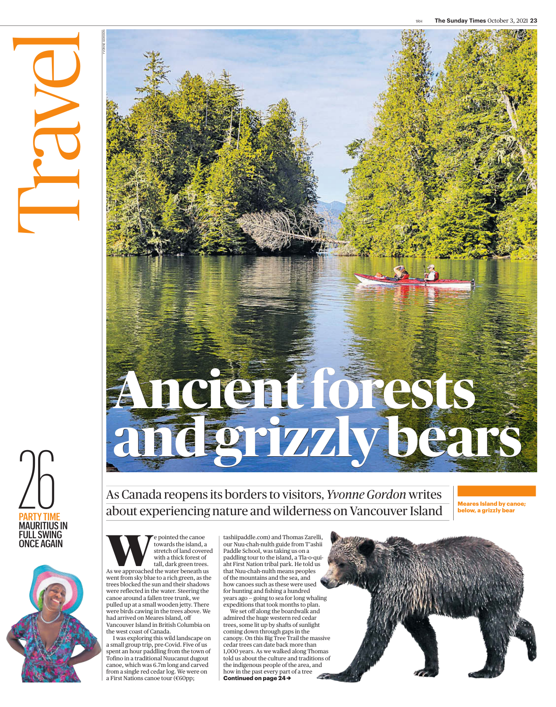

Travel 1

YVONNE GORDON



W e pointed the canoe towards the island, a stretch of land covered with a thick forest of

tall, dark green trees. As we approached the water beneath us went from sky blue to a rich green, as the trees blocked the sun and their shadows were reflected in the water. Steering the canoe around a fallen tree trunk, we pulled up at a small wooden jetty. There were birds cawing in the trees above. We had arrived on Meares Island, off Vancouver Island in British Columbia on the west coast of Canada.

I was exploring this wild landscape on a small group trip, pre-Covid. Five of us spent an hour paddling from the town of Tofino in a traditional Nuucanut dugout canoe, which was 6.7m long and carved from a single red cedar log. We were on a First Nations canoe tour (€60pp;

tashiipaddle.com) and Thomas Zarelli, our Nuu-chah-nulth guide from T'ashii Paddle School, was taking us on a paddling tour to the island, a Tla-o-quiaht First Nation tribal park. He told us that Nuu-chah-nulth means peoples of the mountains and the sea, and how canoes such as these were used for hunting and fishing a hundred years ago — going to sea for long whaling expeditions that took months to plan.

We set off along the boardwalk and admired the huge western red cedar trees, some lit up by shafts of sunlight coming down through gaps in the canopy. On this Big Tree Trail the massive cedar trees can date back more than 1,000 years. As we walked along Thomas told us about the culture and traditions of the indigenous people of the area, and how in the past every part of a tree **Continued on page 24→**

**Ancient forests and grizzly bears**

As Canada reopens its borders to visitors, *Yvonne Gordon* writes about experiencing nature and wilderness on Vancouver Island

**Meares Island by canoe; below, a grizzly bear**